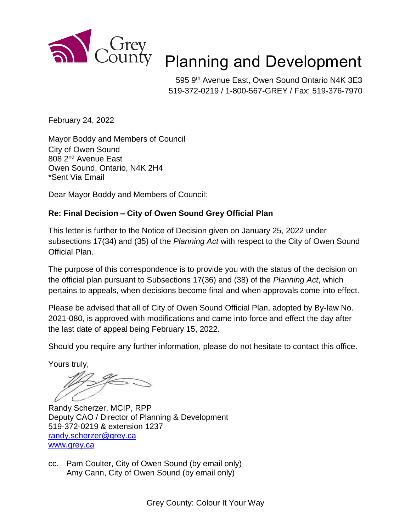

## Planning and Development

595 9<sup>th</sup> Avenue East, Owen Sound Ontario N4K 3E3 519-372-0219 / 1-800-567-GREY / Fax: 519-376-7970

February 24, 2022

Mayor Boddy and Members of Council City of Owen Sound 808 2nd Avenue East Owen Sound, Ontario, N4K 2H4 \*Sent Via Email

Dear Mayor Boddy and Members of Council:

## **Re: Final Decision – City of Owen Sound Grey Official Plan**

This letter is further to the Notice of Decision given on January 25, 2022 under subsections 17(34) and (35) of the *Planning Act* with respect to the City of Owen Sound Official Plan.

The purpose of this correspondence is to provide you with the status of the decision on the official plan pursuant to Subsections 17(36) and (38) of the *Planning Act*, which pertains to appeals, when decisions become final and when approvals come into effect.

Please be advised that all of City of Owen Sound Official Plan, adopted by By-law No. 2021-080, is approved with modifications and came into force and effect the day after the last date of appeal being February 15, 2022.

Should you require any further information, please do not hesitate to contact this office.

Yours truly,

Randy Scherzer, MCIP, RPP Deputy CAO / Director of Planning & Development 519-372-0219 & extension 1237 [randy.scherzer@grey.ca](mailto:randy.scherzer@grey.ca) www.grey.ca

cc. Pam Coulter, City of Owen Sound (by email only) Amy Cann, City of Owen Sound (by email only)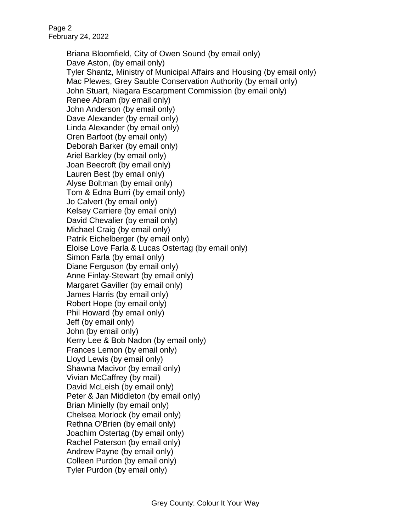Page 2 February 24, 2022

> Briana Bloomfield, City of Owen Sound (by email only) Dave Aston, (by email only) Tyler Shantz, Ministry of Municipal Affairs and Housing (by email only) Mac Plewes, Grey Sauble Conservation Authority (by email only) John Stuart, Niagara Escarpment Commission (by email only) Renee Abram (by email only) John Anderson (by email only) Dave Alexander (by email only) Linda Alexander (by email only) Oren Barfoot (by email only) Deborah Barker (by email only) Ariel Barkley (by email only) Joan Beecroft (by email only) Lauren Best (by email only) Alyse Boltman (by email only) Tom & Edna Burri (by email only) Jo Calvert (by email only) Kelsey Carriere (by email only) David Chevalier (by email only) Michael Craig (by email only) Patrik Eichelberger (by email only) Eloise Love Farla & Lucas Ostertag (by email only) Simon Farla (by email only) Diane Ferguson (by email only) Anne Finlay-Stewart (by email only) Margaret Gaviller (by email only) James Harris (by email only) Robert Hope (by email only) Phil Howard (by email only) Jeff (by email only) John (by email only) Kerry Lee & Bob Nadon (by email only) Frances Lemon (by email only) Lloyd Lewis (by email only) Shawna Macivor (by email only) Vivian McCaffrey (by mail) David McLeish (by email only) Peter & Jan Middleton (by email only) Brian Minielly (by email only) Chelsea Morlock (by email only) Rethna O'Brien (by email only) Joachim Ostertag (by email only) Rachel Paterson (by email only) Andrew Payne (by email only) Colleen Purdon (by email only) Tyler Purdon (by email only)